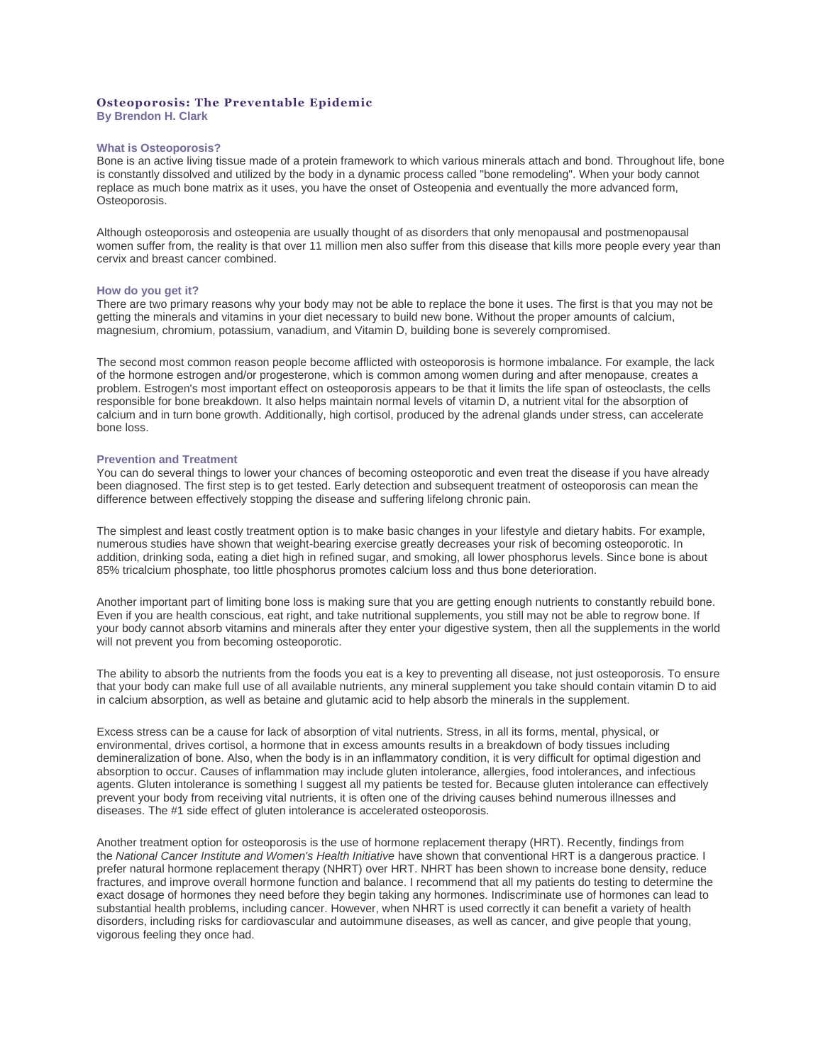# **Osteoporosis: The Preventable Epidemic By Brendon H. Clark**

# **What is Osteoporosis?**

Bone is an active living tissue made of a protein framework to which various minerals attach and bond. Throughout life, bone is constantly dissolved and utilized by the body in a dynamic process called "bone remodeling". When your body cannot replace as much bone matrix as it uses, you have the onset of Osteopenia and eventually the more advanced form, Osteoporosis.

Although osteoporosis and osteopenia are usually thought of as disorders that only menopausal and postmenopausal women suffer from, the reality is that over 11 million men also suffer from this disease that kills more people every year than cervix and breast cancer combined.

### **How do you get it?**

There are two primary reasons why your body may not be able to replace the bone it uses. The first is that you may not be getting the minerals and vitamins in your diet necessary to build new bone. Without the proper amounts of calcium, magnesium, chromium, potassium, vanadium, and Vitamin D, building bone is severely compromised.

The second most common reason people become afflicted with osteoporosis is hormone imbalance. For example, the lack of the hormone estrogen and/or progesterone, which is common among women during and after menopause, creates a problem. Estrogen's most important effect on osteoporosis appears to be that it limits the life span of osteoclasts, the cells responsible for bone breakdown. It also helps maintain normal levels of vitamin D, a nutrient vital for the absorption of calcium and in turn bone growth. Additionally, high cortisol, produced by the adrenal glands under stress, can accelerate bone loss.

# **Prevention and Treatment**

You can do several things to lower your chances of becoming osteoporotic and even treat the disease if you have already been diagnosed. The first step is to get tested. Early detection and subsequent treatment of osteoporosis can mean the difference between effectively stopping the disease and suffering lifelong chronic pain.

The simplest and least costly treatment option is to make basic changes in your lifestyle and dietary habits. For example, numerous studies have shown that weight-bearing exercise greatly decreases your risk of becoming osteoporotic. In addition, drinking soda, eating a diet high in refined sugar, and smoking, all lower phosphorus levels. Since bone is about 85% tricalcium phosphate, too little phosphorus promotes calcium loss and thus bone deterioration.

Another important part of limiting bone loss is making sure that you are getting enough nutrients to constantly rebuild bone. Even if you are health conscious, eat right, and take nutritional supplements, you still may not be able to regrow bone. If your body cannot absorb vitamins and minerals after they enter your digestive system, then all the supplements in the world will not prevent you from becoming osteoporotic.

The ability to absorb the nutrients from the foods you eat is a key to preventing all disease, not just osteoporosis. To ensure that your body can make full use of all available nutrients, any mineral supplement you take should contain vitamin D to aid in calcium absorption, as well as betaine and glutamic acid to help absorb the minerals in the supplement.

Excess stress can be a cause for lack of absorption of vital nutrients. Stress, in all its forms, mental, physical, or environmental, drives cortisol, a hormone that in excess amounts results in a breakdown of body tissues including demineralization of bone. Also, when the body is in an inflammatory condition, it is very difficult for optimal digestion and absorption to occur. Causes of inflammation may include gluten intolerance, allergies, food intolerances, and infectious agents. Gluten intolerance is something I suggest all my patients be tested for. Because gluten intolerance can effectively prevent your body from receiving vital nutrients, it is often one of the driving causes behind numerous illnesses and diseases. The #1 side effect of gluten intolerance is accelerated osteoporosis.

Another treatment option for osteoporosis is the use of hormone replacement therapy (HRT). Recently, findings from the *National Cancer Institute and Women's Health Initiative* have shown that conventional HRT is a dangerous practice. I prefer natural hormone replacement therapy (NHRT) over HRT. NHRT has been shown to increase bone density, reduce fractures, and improve overall hormone function and balance. I recommend that all my patients do testing to determine the exact dosage of hormones they need before they begin taking any hormones. Indiscriminate use of hormones can lead to substantial health problems, including cancer. However, when NHRT is used correctly it can benefit a variety of health disorders, including risks for cardiovascular and autoimmune diseases, as well as cancer, and give people that young, vigorous feeling they once had.